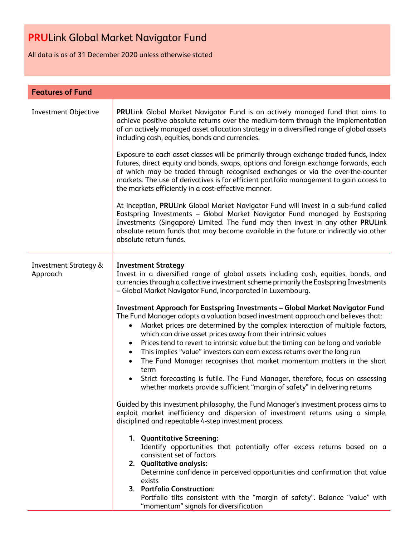All data is as of 31 December 2020 unless otherwise stated

| <b>Features of Fund</b>                      |                                                                                                                                                                                                                                                                                                                                                                                                                                                                                                                                                                                                                                                                                                                                                      |  |  |  |  |  |
|----------------------------------------------|------------------------------------------------------------------------------------------------------------------------------------------------------------------------------------------------------------------------------------------------------------------------------------------------------------------------------------------------------------------------------------------------------------------------------------------------------------------------------------------------------------------------------------------------------------------------------------------------------------------------------------------------------------------------------------------------------------------------------------------------------|--|--|--|--|--|
| Investment Objective                         | PRULink Global Market Navigator Fund is an actively managed fund that aims to<br>achieve positive absolute returns over the medium-term through the implementation<br>of an actively managed asset allocation strategy in a diversified range of global assets<br>including cash, equities, bonds and currencies.                                                                                                                                                                                                                                                                                                                                                                                                                                    |  |  |  |  |  |
|                                              | Exposure to each asset classes will be primarily through exchange traded funds, index<br>futures, direct equity and bonds, swaps, options and foreign exchange forwards, each<br>of which may be traded through recognised exchanges or via the over-the-counter<br>markets. The use of derivatives is for efficient portfolio management to gain access to<br>the markets efficiently in a cost-effective manner.                                                                                                                                                                                                                                                                                                                                   |  |  |  |  |  |
|                                              | At inception, PRULink Global Market Navigator Fund will invest in a sub-fund called<br>Eastspring Investments - Global Market Navigator Fund managed by Eastspring<br>Investments (Singapore) Limited. The fund may then invest in any other PRULink<br>absolute return funds that may become available in the future or indirectly via other<br>absolute return funds.                                                                                                                                                                                                                                                                                                                                                                              |  |  |  |  |  |
| <b>Investment Strategy &amp;</b><br>Approach | <b>Investment Strategy</b><br>Invest in a diversified range of global assets including cash, equities, bonds, and<br>currencies through a collective investment scheme primarily the Eastspring Investments<br>- Global Market Navigator Fund, incorporated in Luxembourg.                                                                                                                                                                                                                                                                                                                                                                                                                                                                           |  |  |  |  |  |
|                                              | <b>Investment Approach for Eastspring Investments - Global Market Navigator Fund</b><br>The Fund Manager adopts a valuation based investment approach and believes that:<br>Market prices are determined by the complex interaction of multiple factors,<br>which can drive asset prices away from their intrinsic values<br>Prices tend to revert to intrinsic value but the timing can be long and variable<br>٠<br>This implies "value" investors can earn excess returns over the long run<br>٠<br>The Fund Manager recognises that market momentum matters in the short<br>term<br>Strict forecasting is futile. The Fund Manager, therefore, focus on assessing<br>whether markets provide sufficient "margin of safety" in delivering returns |  |  |  |  |  |
|                                              | Guided by this investment philosophy, the Fund Manager's investment process aims to<br>exploit market inefficiency and dispersion of investment returns using a simple,<br>disciplined and repeatable 4-step investment process.                                                                                                                                                                                                                                                                                                                                                                                                                                                                                                                     |  |  |  |  |  |
|                                              | 1. Quantitative Screening:<br>Identify opportunities that potentially offer excess returns based on a<br>consistent set of factors                                                                                                                                                                                                                                                                                                                                                                                                                                                                                                                                                                                                                   |  |  |  |  |  |
|                                              | 2. Qualitative analysis:<br>Determine confidence in perceived opportunities and confirmation that value<br>exists                                                                                                                                                                                                                                                                                                                                                                                                                                                                                                                                                                                                                                    |  |  |  |  |  |
|                                              | 3. Portfolio Construction:<br>Portfolio tilts consistent with the "margin of safety". Balance "value" with<br>"momentum" signals for diversification                                                                                                                                                                                                                                                                                                                                                                                                                                                                                                                                                                                                 |  |  |  |  |  |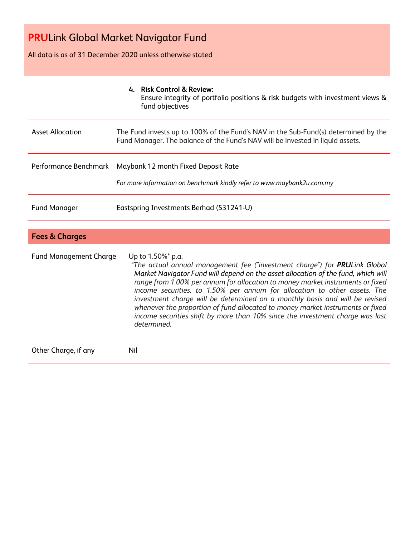All data is as of 31 December 2020 unless otherwise stated

|                               | 4. Risk Control & Review:<br>Ensure integrity of portfolio positions & risk budgets with investment views &<br>fund objectives                                                                                                                                                                                                                                                                                                                                                                                       |  |  |  |  |
|-------------------------------|----------------------------------------------------------------------------------------------------------------------------------------------------------------------------------------------------------------------------------------------------------------------------------------------------------------------------------------------------------------------------------------------------------------------------------------------------------------------------------------------------------------------|--|--|--|--|
| <b>Asset Allocation</b>       | The Fund invests up to 100% of the Fund's NAV in the Sub-Fund(s) determined by the<br>Fund Manager. The balance of the Fund's NAV will be invested in liquid assets.                                                                                                                                                                                                                                                                                                                                                 |  |  |  |  |
| Performance Benchmark         | Maybank 12 month Fixed Deposit Rate<br>For more information on benchmark kindly refer to www.maybank2u.com.my                                                                                                                                                                                                                                                                                                                                                                                                        |  |  |  |  |
| <b>Fund Manager</b>           | Eastspring Investments Berhad (531241-U)                                                                                                                                                                                                                                                                                                                                                                                                                                                                             |  |  |  |  |
|                               |                                                                                                                                                                                                                                                                                                                                                                                                                                                                                                                      |  |  |  |  |
| <b>Fees &amp; Charges</b>     |                                                                                                                                                                                                                                                                                                                                                                                                                                                                                                                      |  |  |  |  |
| <b>Fund Management Charge</b> | Up to 1.50%* p.a.<br>*The actual annual management fee ("investment charge") for PRULink Global<br>Market Navigator Fund will depend on the asset allocation of the fund, which will<br>range from 1.00% per annum for allocation to money market instruments or fixed<br>income securities, to 1.50% per annum for allocation to other assets. The<br>investment charge will be determined on a monthly basis and will be revised<br>whenever the proportion of fund allocated to money market instruments or fixed |  |  |  |  |

*determined.*

Other Charge, if any Nil

*income securities shift by more than 10% since the investment charge was last*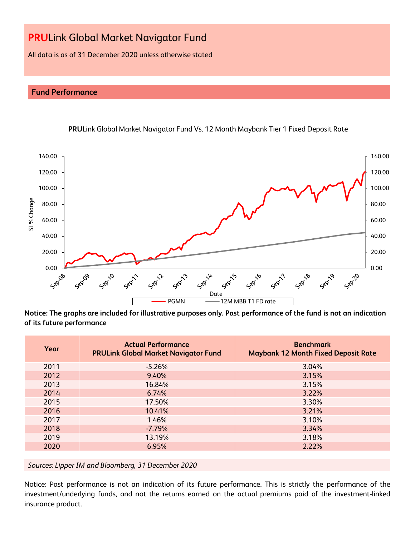All data is as of 31 December 2020 unless otherwise stated

# **Fund Performance**



**PRU**Link Global Market Navigator Fund Vs. 12 Month Maybank Tier 1 Fixed Deposit Rate

**Notice: The graphs are included for illustrative purposes only. Past performance of the fund is not an indication of its future performance**

| Year | <b>Actual Performance</b><br><b>PRULink Global Market Navigator Fund</b> | <b>Benchmark</b><br><b>Maybank 12 Month Fixed Deposit Rate</b> |
|------|--------------------------------------------------------------------------|----------------------------------------------------------------|
| 2011 | $-5.26%$                                                                 | 3.04%                                                          |
| 2012 | 9.40%                                                                    | 3.15%                                                          |
| 2013 | 16.84%                                                                   | 3.15%                                                          |
| 2014 | 6.74%                                                                    | 3.22%                                                          |
| 2015 | 17.50%                                                                   | 3.30%                                                          |
| 2016 | 10.41%                                                                   | 3.21%                                                          |
| 2017 | 1.46%                                                                    | 3.10%                                                          |
| 2018 | $-7.79%$                                                                 | 3.34%                                                          |
| 2019 | 13.19%                                                                   | 3.18%                                                          |
| 2020 | 6.95%                                                                    | 2.22%                                                          |

*Sources: Lipper IM and Bloomberg, 31 December 2020*

Notice: Past performance is not an indication of its future performance. This is strictly the performance of the investment/underlying funds, and not the returns earned on the actual premiums paid of the investment-linked insurance product.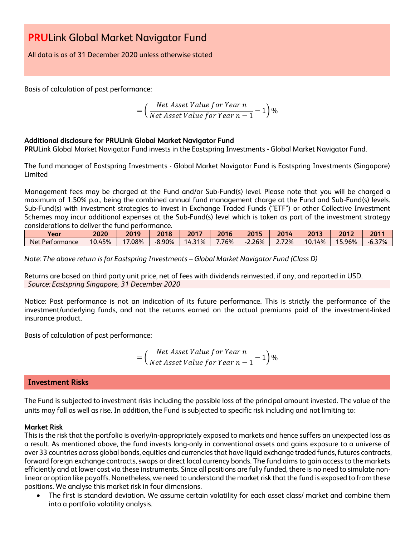All data is as of 31 December 2020 unless otherwise stated

Basis of calculation of past performance:

$$
= \left(\frac{Net\ Asset\ Value\ for\ Year\ n}{Net\ Asset\ Value\ for\ Year\ n-1} - 1\right)\%
$$

## **Additional disclosure for PRULink Global Market Navigator Fund**

**PRU**Link Global Market Navigator Fund invests in the Eastspring Investments - Global Market Navigator Fund.

The fund manager of Eastspring Investments - Global Market Navigator Fund is Eastspring Investments (Singapore) Limited

Management fees may be charged at the Fund and/or Sub-Fund(s) level. Please note that you will be charged a maximum of 1.50% p.a., being the combined annual fund management charge at the Fund and Sub-Fund(s) levels. Sub-Fund(s) with investment strategies to invest in Exchange Traded Funds ("ETF") or other Collective Investment Schemes may incur additional expenses at the Sub-Fund(s) level which is taken as part of the investment strategy considerations to deliver the fund performance.

| Year                   | 2020         | 2019 | 2018     | 2017             | 2016 | 2015            | วก1.<br>$ -$  | 2013       | 2012                   | 2011            |
|------------------------|--------------|------|----------|------------------|------|-----------------|---------------|------------|------------------------|-----------------|
| Net P<br>: Performance | 45%<br>10.4. | .08% | $-8.90%$ | 31%<br>14<br>. . | 76%  | 26%<br><u>.</u> | 72%<br>-<br>. | 14%<br>10. | 5.96%<br>$\sim$ $\sim$ | 37%<br>$-6.31.$ |

*Note: The above return is for Eastspring Investments – Global Market Navigator Fund (Class D)*

Returns are based on third party unit price, net of fees with dividends reinvested, if any, and reported in USD. *Source: Eastspring Singapore, 31 December 2020*

Notice: Past performance is not an indication of its future performance. This is strictly the performance of the investment/underlying funds, and not the returns earned on the actual premiums paid of the investment-linked insurance product.

Basis of calculation of past performance:

$$
= \left(\frac{Net\ Asset\ Value\ for\ Year\ n}{Net\ Asset\ Value\ for\ Year\ n-1} - 1\right)\%
$$

# **Investment Risks**

The Fund is subjected to investment risks including the possible loss of the principal amount invested. The value of the units may fall as well as rise. In addition, the Fund is subjected to specific risk including and not limiting to:

### **Market Risk**

This is the risk that the portfolio is overly/in-appropriately exposed to markets and hence suffers an unexpected loss as a result. As mentioned above, the fund invests long-only in conventional assets and gains exposure to a universe of over 33 countries across global bonds, equities and currencies that have liquid exchange traded funds, futures contracts, forward foreign exchange contracts, swaps or direct local currency bonds. The fund aims to gain access to the markets efficiently and at lower cost via these instruments. Since all positions are fully funded, there is no need to simulate nonlinear or option like payoffs. Nonetheless, we need to understand the market risk that the fund is exposed to from these positions. We analyse this market risk in four dimensions.

• The first is standard deviation. We assume certain volatility for each asset class/ market and combine them into a portfolio volatility analysis.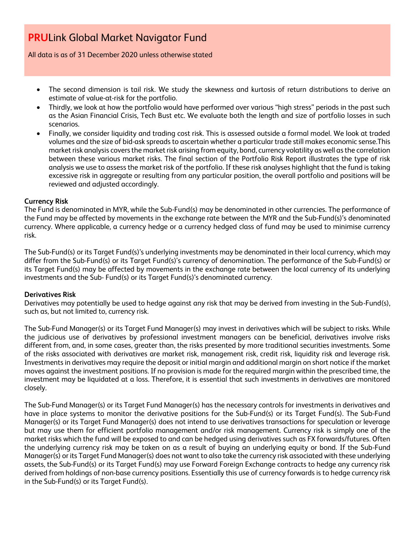All data is as of 31 December 2020 unless otherwise stated

- The second dimension is tail risk. We study the skewness and kurtosis of return distributions to derive an estimate of value-at-risk for the portfolio.
- Thirdly, we look at how the portfolio would have performed over various "high stress" periods in the past such as the Asian Financial Crisis, Tech Bust etc. We evaluate both the length and size of portfolio losses in such scenarios.
- Finally, we consider liquidity and trading cost risk. This is assessed outside a formal model. We look at traded volumes and the size of bid-ask spreads to ascertain whether a particular trade still makes economic sense.This market risk analysis covers the market risk arising from equity, bond, currency volatility as well as the correlation between these various market risks. The final section of the Portfolio Risk Report illustrates the type of risk analysis we use to assess the market risk of the portfolio. If these risk analyses highlight that the fund is taking excessive risk in aggregate or resulting from any particular position, the overall portfolio and positions will be reviewed and adjusted accordingly.

## **Currency Risk**

The Fund is denominated in MYR, while the Sub-Fund(s) may be denominated in other currencies. The performance of the Fund may be affected by movements in the exchange rate between the MYR and the Sub-Fund(s)'s denominated currency. Where applicable, a currency hedge or a currency hedged class of fund may be used to minimise currency risk.

The Sub-Fund(s) or its Target Fund(s)'s underlying investments may be denominated in their local currency, which may differ from the Sub-Fund(s) or its Target Fund(s)'s currency of denomination. The performance of the Sub-Fund(s) or its Target Fund(s) may be affected by movements in the exchange rate between the local currency of its underlying investments and the Sub- Fund(s) or its Target Fund(s)'s denominated currency.

### **Derivatives Risk**

Derivatives may potentially be used to hedge against any risk that may be derived from investing in the Sub-Fund(s), such as, but not limited to, currency risk.

The Sub-Fund Manager(s) or its Target Fund Manager(s) may invest in derivatives which will be subject to risks. While the judicious use of derivatives by professional investment managers can be beneficial, derivatives involve risks different from, and, in some cases, greater than, the risks presented by more traditional securities investments. Some of the risks associated with derivatives are market risk, management risk, credit risk, liquidity risk and leverage risk. Investments in derivatives may require the deposit or initial margin and additional margin on short notice if the market moves against the investment positions. If no provision is made for the required margin within the prescribed time, the investment may be liquidated at a loss. Therefore, it is essential that such investments in derivatives are monitored closely.

The Sub-Fund Manager(s) or its Target Fund Manager(s) has the necessary controls for investments in derivatives and have in place systems to monitor the derivative positions for the Sub-Fund(s) or its Target Fund(s). The Sub-Fund Manager(s) or its Target Fund Manager(s) does not intend to use derivatives transactions for speculation or leverage but may use them for efficient portfolio management and/or risk management. Currency risk is simply one of the market risks which the fund will be exposed to and can be hedged using derivatives such as FX forwards/futures. Often the underlying currency risk may be taken on as a result of buying an underlying equity or bond. If the Sub-Fund Manager(s) or its Target Fund Manager(s) does not want to also take the currency risk associated with these underlying assets, the Sub-Fund(s) or its Target Fund(s) may use Forward Foreign Exchange contracts to hedge any currency risk derived from holdings of non-base currency positions. Essentially this use of currency forwards is to hedge currency risk in the Sub-Fund(s) or its Target Fund(s).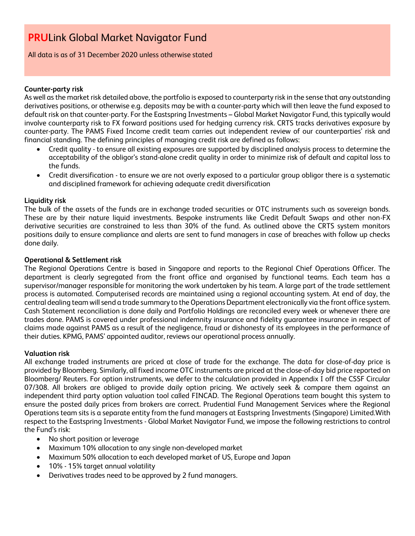All data is as of 31 December 2020 unless otherwise stated

### **Counter-party risk**

As well as the market risk detailed above, the portfolio is exposed to counterparty risk in the sense that any outstanding derivatives positions, or otherwise e.g. deposits may be with a counter-party which will then leave the fund exposed to default risk on that counter-party. For the Eastspring Investments – Global Market Navigator Fund, this typically would involve counterparty risk to FX forward positions used for hedging currency risk. CRTS tracks derivatives exposure by counter-party. The PAMS Fixed Income credit team carries out independent review of our counterparties' risk and financial standing. The defining principles of managing credit risk are defined as follows:

- Credit quality to ensure all existing exposures are supported by disciplined analysis process to determine the acceptability of the obligor's stand-alone credit quality in order to minimize risk of default and capital loss to the funds.
- Credit diversification to ensure we are not overly exposed to a particular group obligor there is a systematic and disciplined framework for achieving adequate credit diversification

# **Liquidity risk**

The bulk of the assets of the funds are in exchange traded securities or OTC instruments such as sovereign bonds. These are by their nature liquid investments. Bespoke instruments like Credit Default Swaps and other non-FX derivative securities are constrained to less than 30% of the fund. As outlined above the CRTS system monitors positions daily to ensure compliance and alerts are sent to fund managers in case of breaches with follow up checks done daily.

## **Operational & Settlement risk**

The Regional Operations Centre is based in Singapore and reports to the Regional Chief Operations Officer. The department is clearly segregated from the front office and organised by functional teams. Each team has a supervisor/manager responsible for monitoring the work undertaken by his team. A large part of the trade settlement process is automated. Computerised records are maintained using a regional accounting system. At end of day, the central dealing team will send a trade summary to the Operations Department electronically via the front office system. Cash Statement reconciliation is done daily and Portfolio Holdings are reconciled every week or whenever there are trades done. PAMS is covered under professional indemnity insurance and fidelity guarantee insurance in respect of claims made against PAMS as a result of the negligence, fraud or dishonesty of its employees in the performance of their duties. KPMG, PAMS' appointed auditor, reviews our operational process annually.

### **Valuation risk**

All exchange traded instruments are priced at close of trade for the exchange. The data for close-of-day price is provided by Bloomberg. Similarly, all fixed income OTC instruments are priced at the close-of-day bid price reported on Bloomberg/ Reuters. For option instruments, we defer to the calculation provided in Appendix I off the CSSF Circular 07/308. All brokers are obliged to provide daily option pricing. We actively seek & compare them against an independent third party option valuation tool called FINCAD. The Regional Operations team bought this system to ensure the posted daily prices from brokers are correct. Prudential Fund Management Services where the Regional Operations team sits is a separate entity from the fund managers at Eastspring Investments (Singapore) Limited.With respect to the Eastspring Investments - Global Market Navigator Fund, we impose the following restrictions to control the Fund's risk:

- No short position or leverage
- Maximum 10% allocation to any single non-developed market
- Maximum 50% allocation to each developed market of US, Europe and Japan
- 10% 15% target annual volatility
- Derivatives trades need to be approved by 2 fund managers.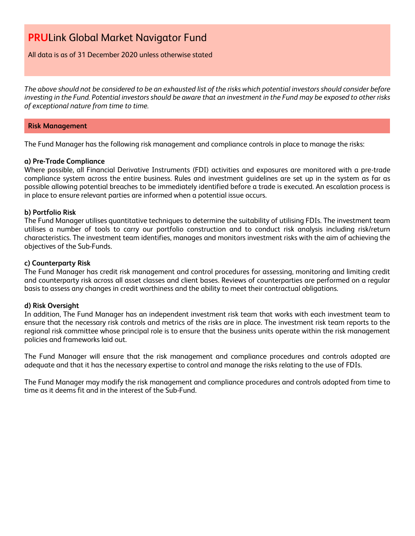### All data is as of 31 December 2020 unless otherwise stated

*The above should not be considered to be an exhausted list of the risks which potential investors should consider before investing in the Fund. Potential investors should be aware that an investment in the Fund may be exposed to other risks of exceptional nature from time to time.*

#### **Risk Management**

The Fund Manager has the following risk management and compliance controls in place to manage the risks:

### **a) Pre-Trade Compliance**

Where possible, all Financial Derivative Instruments (FDI) activities and exposures are monitored with a pre-trade compliance system across the entire business. Rules and investment guidelines are set up in the system as far as possible allowing potential breaches to be immediately identified before a trade is executed. An escalation process is in place to ensure relevant parties are informed when a potential issue occurs.

### **b) Portfolio Risk**

The Fund Manager utilises quantitative techniques to determine the suitability of utilising FDIs. The investment team utilises a number of tools to carry our portfolio construction and to conduct risk analysis including risk/return characteristics. The investment team identifies, manages and monitors investment risks with the aim of achieving the objectives of the Sub-Funds.

### **c) Counterparty Risk**

The Fund Manager has credit risk management and control procedures for assessing, monitoring and limiting credit and counterparty risk across all asset classes and client bases. Reviews of counterparties are performed on a regular basis to assess any changes in credit worthiness and the ability to meet their contractual obligations.

### **d) Risk Oversight**

In addition, The Fund Manager has an independent investment risk team that works with each investment team to ensure that the necessary risk controls and metrics of the risks are in place. The investment risk team reports to the regional risk committee whose principal role is to ensure that the business units operate within the risk management policies and frameworks laid out.

The Fund Manager will ensure that the risk management and compliance procedures and controls adopted are adequate and that it has the necessary expertise to control and manage the risks relating to the use of FDIs.

The Fund Manager may modify the risk management and compliance procedures and controls adopted from time to time as it deems fit and in the interest of the Sub-Fund.